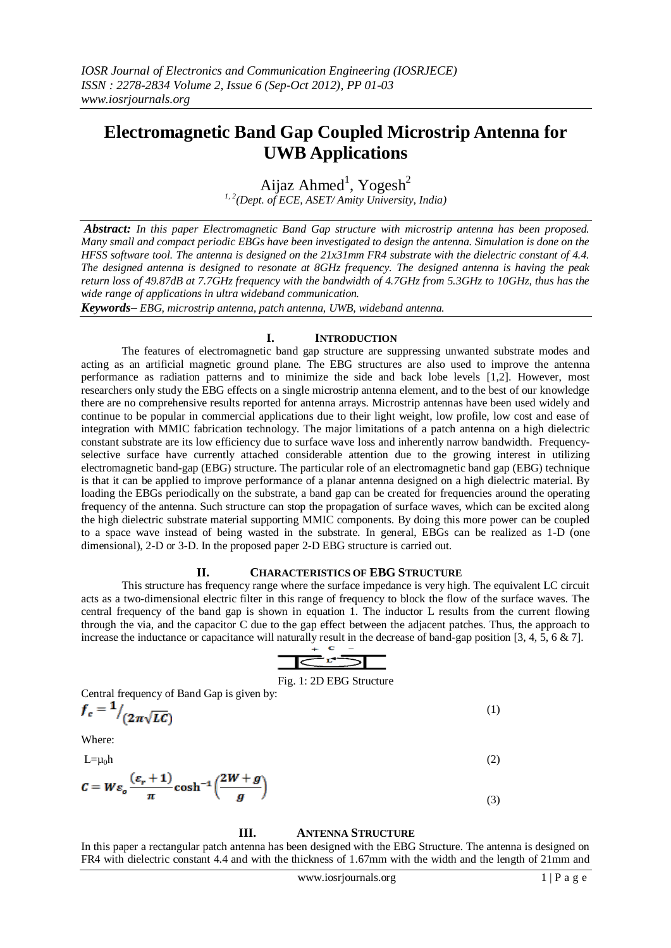# **Electromagnetic Band Gap Coupled Microstrip Antenna for UWB Applications**

Aijaz Ahmed<sup>1</sup>, Yogesh<sup>2</sup> *1, 2(Dept. of ECE, ASET/ Amity University, India)*

*Abstract: In this paper Electromagnetic Band Gap structure with microstrip antenna has been proposed. Many small and compact periodic EBGs have been investigated to design the antenna. Simulation is done on the HFSS software tool. The antenna is designed on the 21x31mm FR4 substrate with the dielectric constant of 4.4. The designed antenna is designed to resonate at 8GHz frequency. The designed antenna is having the peak return loss of 49.87dB at 7.7GHz frequency with the bandwidth of 4.7GHz from 5.3GHz to 10GHz, thus has the wide range of applications in ultra wideband communication.*

*Keywords– EBG, microstrip antenna, patch antenna, UWB, wideband antenna.*

# **I. INTRODUCTION**

The features of electromagnetic band gap structure are suppressing unwanted substrate modes and acting as an artificial magnetic ground plane. The EBG structures are also used to improve the antenna performance as radiation patterns and to minimize the side and back lobe levels [1,2]. However, most researchers only study the EBG effects on a single microstrip antenna element, and to the best of our knowledge there are no comprehensive results reported for antenna arrays. Microstrip antennas have been used widely and continue to be popular in commercial applications due to their light weight, low profile, low cost and ease of integration with MMIC fabrication technology. The major limitations of a patch antenna on a high dielectric constant substrate are its low efficiency due to surface wave loss and inherently narrow bandwidth. Frequencyselective surface have currently attached considerable attention due to the growing interest in utilizing electromagnetic band-gap (EBG) structure. The particular role of an electromagnetic band gap (EBG) technique is that it can be applied to improve performance of a planar antenna designed on a high dielectric material. By loading the EBGs periodically on the substrate, a band gap can be created for frequencies around the operating frequency of the antenna. Such structure can stop the propagation of surface waves, which can be excited along the high dielectric substrate material supporting MMIC components. By doing this more power can be coupled to a space wave instead of being wasted in the substrate. In general, EBGs can be realized as 1-D (one dimensional), 2-D or 3-D. In the proposed paper 2-D EBG structure is carried out.

## **II. CHARACTERISTICS OF EBG STRUCTURE**

This structure has frequency range where the surface impedance is very high. The equivalent LC circuit acts as a two-dimensional electric filter in this range of frequency to block the flow of the surface waves. The central frequency of the band gap is shown in equation 1. The inductor L results from the current flowing through the via, and the capacitor C due to the gap effect between the adjacent patches. Thus, the approach to increase the inductance or capacitance will naturally result in the decrease of band-gap position [3, 4, 5, 6 & 7].

$$
\overline{\text{Ker}}
$$

#### Fig. 1: 2D EBG Structure

(1)

Central frequency of Band Gap is given by:

$$
f_c = \frac{1}{2\pi\sqrt{LC}}
$$

Where:

 $L=\mu_0 h$  (2)

$$
C = W \varepsilon_o \frac{(\varepsilon_r + 1)}{\pi} \cosh^{-1} \left( \frac{2W + g}{g} \right)
$$
 (3)

## **III. ANTENNA STRUCTURE**

In this paper a rectangular patch antenna has been designed with the EBG Structure. The antenna is designed on FR4 with dielectric constant 4.4 and with the thickness of 1.67mm with the width and the length of 21mm and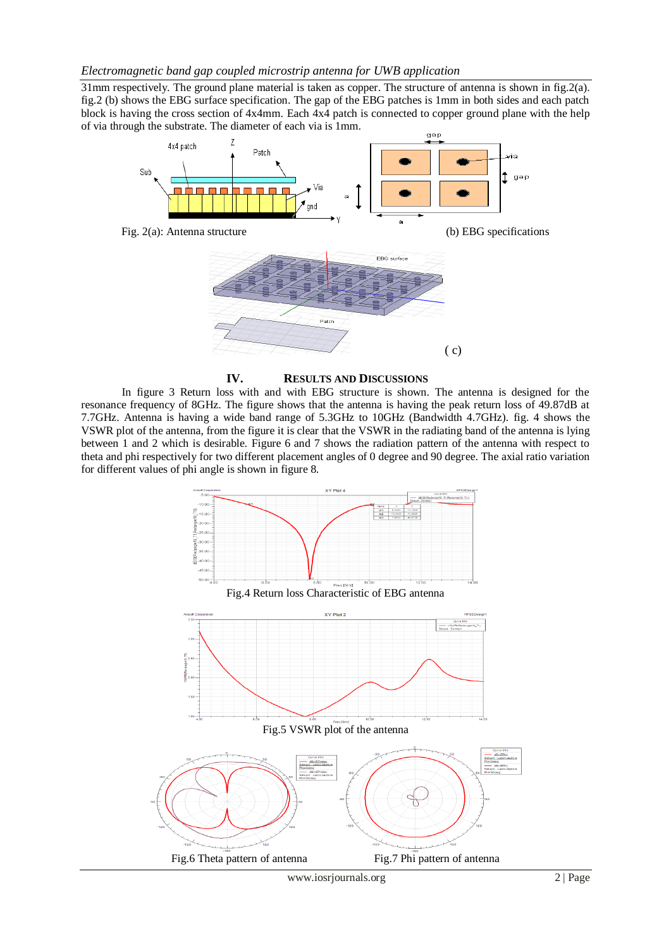31mm respectively. The ground plane material is taken as copper. The structure of antenna is shown in fig.2(a). fig.2 (b) shows the EBG surface specification. The gap of the EBG patches is 1mm in both sides and each patch block is having the cross section of 4x4mm. Each 4x4 patch is connected to copper ground plane with the help of via through the substrate. The diameter of each via is 1mm. dan





In figure 3 Return loss with and with EBG structure is shown. The antenna is designed for the resonance frequency of 8GHz. The figure shows that the antenna is having the peak return loss of 49.87dB at 7.7GHz. Antenna is having a wide band range of 5.3GHz to 10GHz (Bandwidth 4.7GHz). fig. 4 shows the VSWR plot of the antenna, from the figure it is clear that the VSWR in the radiating band of the antenna is lying between 1 and 2 which is desirable. Figure 6 and 7 shows the radiation pattern of the antenna with respect to theta and phi respectively for two different placement angles of 0 degree and 90 degree. The axial ratio variation for different values of phi angle is shown in figure 8.